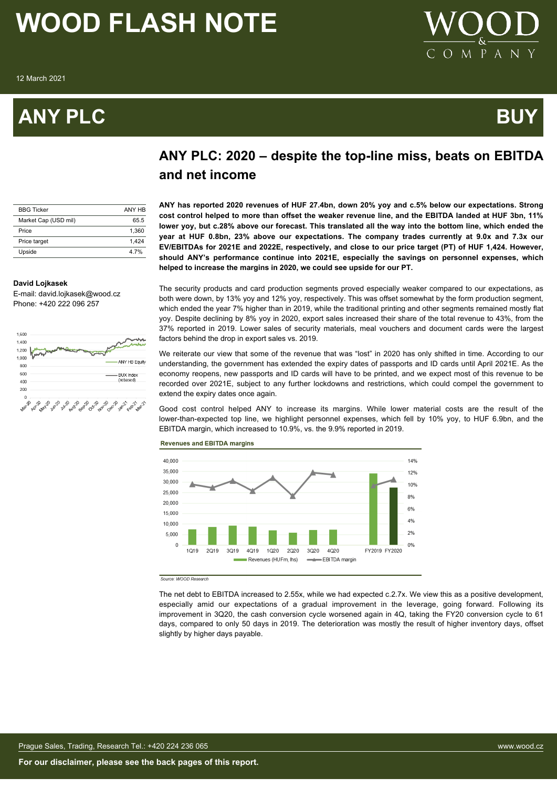# **ANY PLC BUY**



# **ANY PLC: 2020 – despite the top-line miss, beats on EBITDA and net income**

| <b>BBG Ticker</b>    | ANY HR |
|----------------------|--------|
| Market Cap (USD mil) | 65.5   |
| Price                | 1.360  |
| Price target         | 1.424  |
| Upside               | 4 7%   |

**ANY has reported 2020 revenues of HUF 27.4bn, down 20% yoy and c.5% below our expectations. Strong cost control helped to more than offset the weaker revenue line, and the EBITDA landed at HUF 3bn, 11% lower yoy, but c.28% above our forecast. This translated all the way into the bottom line, which ended the year at HUF 0.8bn, 23% above our expectations. The company trades currently at 9.0x and 7.3x our EV/EBITDAs for 2021E and 2022E, respectively, and close to our price target (PT) of HUF 1,424. However, should ANY's performance continue into 2021E, especially the savings on personnel expenses, which helped to increase the margins in 2020, we could see upside for our PT.**

### **David Lojkasek**

E-mail: david.lojkasek@wood.cz Phone: +420 222 096 257



The security products and card production segments proved especially weaker compared to our expectations, as both were down, by 13% yoy and 12% yoy, respectively. This was offset somewhat by the form production segment, which ended the year 7% higher than in 2019, while the traditional printing and other segments remained mostly flat yoy. Despite declining by 8% yoy in 2020, export sales increased their share of the total revenue to 43%, from the 37% reported in 2019. Lower sales of security materials, meal vouchers and document cards were the largest factors behind the drop in export sales vs. 2019.

We reiterate our view that some of the revenue that was "lost" in 2020 has only shifted in time. According to our understanding, the government has extended the expiry dates of passports and ID cards until April 2021E. As the economy reopens, new passports and ID cards will have to be printed, and we expect most of this revenue to be recorded over 2021E, subject to any further lockdowns and restrictions, which could compel the government to extend the expiry dates once again.

Good cost control helped ANY to increase its margins. While lower material costs are the result of the lower-than-expected top line, we highlight personnel expenses, which fell by 10% yoy, to HUF 6.9bn, and the EBITDA margin, which increased to 10.9%, vs. the 9.9% reported in 2019.



### **Revenues and EBITDA margins**

Source: WOOD Research

The net debt to EBITDA increased to 2.55x, while we had expected c.2.7x. We view this as a positive development, especially amid our expectations of a gradual improvement in the leverage, going forward. Following its improvement in 3Q20, the cash conversion cycle worsened again in 4Q, taking the FY20 conversion cycle to 61 days, compared to only 50 days in 2019. The deterioration was mostly the result of higher inventory days, offset slightly by higher days payable.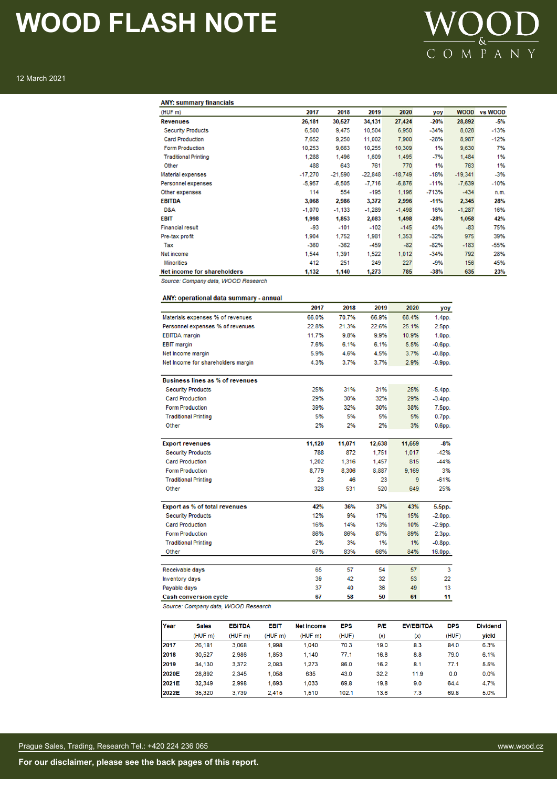

12 March 2021

| <b>ANY: summary financials</b> |           |           |           |           |         |             |         |
|--------------------------------|-----------|-----------|-----------|-----------|---------|-------------|---------|
| (HUF m)                        | 2017      | 2018      | 2019      | 2020      | yoy     | <b>WOOD</b> | vs WOOD |
| <b>Revenues</b>                | 26,181    | 30,527    | 34,131    | 27,424    | $-20%$  | 28,892      | $-5%$   |
| <b>Security Products</b>       | 6,500     | 9,475     | 10,504    | 6,950     | $-34%$  | 8,028       | $-13%$  |
| <b>Card Production</b>         | 7,652     | 9,250     | 11,002    | 7,900     | $-28%$  | 8,987       | $-12%$  |
| <b>Form Production</b>         | 10,253    | 9,663     | 10,255    | 10,309    | 1%      | 9,630       | 7%      |
| <b>Traditional Printing</b>    | 1,288     | 1.496     | 1,609     | 1,495     | $-7%$   | 1,484       | 1%      |
| Other                          | 488       | 643       | 761       | 770       | 1%      | 763         | 1%      |
| Material expenses              | $-17,270$ | $-21,590$ | $-22,848$ | $-18,749$ | $-18%$  | $-19,341$   | $-3%$   |
| Personnel expenses             | $-5.957$  | $-6,505$  | $-7,716$  | $-6,876$  | $-11%$  | $-7,639$    | $-10%$  |
| Other expenses                 | 114       | 554       | $-195$    | 1,196     | $-713%$ | $-434$      | n.m.    |
| <b>EBITDA</b>                  | 3,068     | 2,986     | 3,372     | 2,996     | $-11%$  | 2,345       | 28%     |
| D&A                            | $-1,070$  | $-1,133$  | $-1,289$  | $-1,498$  | 16%     | $-1,287$    | 16%     |
| <b>EBIT</b>                    | 1,998     | 1,853     | 2,083     | 1,498     | $-28%$  | 1,058       | 42%     |
| <b>Financial result</b>        | -93       | $-101$    | $-102$    | $-145$    | 43%     | $-83$       | 75%     |
| Pre-tax profit                 | 1,904     | 1,752     | 1,981     | 1,353     | $-32%$  | 975         | 39%     |
| Tax                            | $-360$    | $-362$    | $-459$    | $-82$     | $-82%$  | $-183$      | $-55%$  |
| Net income                     | 1,544     | 1,391     | 1,522     | 1,012     | $-34%$  | 792         | 28%     |
| <b>Minorities</b>              | 412       | 251       | 249       | 227       | $-9%$   | 156         | 45%     |
| Net income for shareholders    | 1,132     | 1,140     | 1,273     | 785       | $-38%$  | 635         | 23%     |

Source: Company data, WOOD Research

# ANY: operational data summary - annual

|                                    | 2017   | 2018   | 2019   | 2020   | yoy                |
|------------------------------------|--------|--------|--------|--------|--------------------|
| Materials expenses % of revenues   | 66.0%  | 70.7%  | 66.9%  | 68.4%  | 1.4 <sub>pp.</sub> |
| Personnel expenses % of revenues   | 22.8%  | 21.3%  | 22.6%  | 25.1%  | 2.5 <sub>pp</sub>  |
| <b>EBITDA</b> margin               | 11.7%  | 9.8%   | 9.9%   | 10.9%  | $1.0pp$ .          |
| <b>EBIT</b> margin                 | 7.6%   | 6.1%   | 6.1%   | 5.5%   | $-0.6$ pp.         |
| Net Income margin                  | 5.9%   | 4.6%   | 4.5%   | 3.7%   | $-0.8$ pp.         |
| Net Income for shareholders margin | 4.3%   | 3.7%   | 3.7%   | 2.9%   | $-0.9$ pp.         |
| Business lines as % of revenues    |        |        |        |        |                    |
| <b>Security Products</b>           | 25%    | 31%    | 31%    | 25%    | $-5.4$ pp.         |
| <b>Card Production</b>             | 29%    | 30%    | 32%    | 29%    | $-3.4$ pp.         |
| <b>Form Production</b>             | 39%    | 32%    | 30%    | 38%    | 7.5 <sub>pp.</sub> |
| <b>Traditional Printing</b>        | 5%     | 5%     | 5%     | 5%     | $0.7pp$ .          |
| Other                              | 2%     | 2%     | 2%     | 3%     | $0.6pp$ .          |
| <b>Export revenues</b>             | 11,120 | 11,071 | 12,638 | 11,659 | $-8%$              |
| <b>Security Products</b>           | 788    | 872    | 1.751  | 1,017  | $-42%$             |
| <b>Card Production</b>             | 1,202  | 1,316  | 1,457  | 815    | $-44%$             |
| <b>Form Production</b>             | 8,779  | 8,306  | 8,887  | 9,169  | 3%                 |
| <b>Traditional Printing</b>        | 23     | 46     | 23     | 9      | $-61%$             |
| Other                              | 328    | 531    | 520    | 649    | 25%                |
| Export as % of total revenues      | 42%    | 36%    | 37%    | 43%    | 5.5pp.             |
| <b>Security Products</b>           | 12%    | 9%     | 17%    | 15%    | $-2.0pp$ .         |
| <b>Card Production</b>             | 16%    | 14%    | 13%    | 10%    | $-2.9$ pp.         |
| <b>Form Production</b>             | 86%    | 86%    | 87%    | 89%    | 2.3pp.             |
| <b>Traditional Printing</b>        | 2%     | 3%     | 1%     | 1%     | $-0.8$ pp.         |
| Other                              | 67%    | 83%    | 68%    | 84%    | 16.0pp.            |
| Receivable days                    | 65     | 57     | 54     | 57     | 3                  |
| <b>Inventory days</b>              | 39     | 42     | 32     | 53     | 22                 |
| Payable days                       | 37     | 40     | 36     | 49     | 13                 |
| <b>Cash conversion cycle</b>       | 67     | 58     | 50     | 61     | 11                 |

Source: Company data, WOOD Research

| Year  | <b>Sales</b> | <b>EBITDA</b> | <b>EBIT</b> | Net income | <b>EPS</b> | P/E  | <b>EV/EBITDA</b> | <b>DPS</b> | <b>Dividend</b> |
|-------|--------------|---------------|-------------|------------|------------|------|------------------|------------|-----------------|
|       | (HUF m)      | (HUF m)       | (HUF m)     | (HUF m)    | (HUF)      | (x)  | (x)              | (HUF)      | vield           |
| 12017 | 26.181       | 3,068         | 1.998       | 1.040      | 70.3       | 19.0 | 8.3              | 84.0       | 6.3%            |
| 2018  | 30.527       | 2.986         | 1,853       | 1.140      | 77.1       | 16.8 | 8.8              | 79.0       | 6.1%            |
| 2019  | 34.130       | 3.372         | 2.083       | 1.273      | 86.0       | 16.2 | 8.1              | 77.1       | 5.5%            |
| 2020E | 28.892       | 2.345         | 1.058       | 635        | 43.0       | 32.2 | 11.9             | 0.0        | 0.0%            |
| 2021E | 32.349       | 2.998         | 1.693       | 1.033      | 69.8       | 19.8 | 9.0              | 64.4       | 4.7%            |
| 2022E | 35.320       | 3.739         | 2.415       | 1.510      | 102.1      | 13.6 | 7.3              | 69.8       | 5.0%            |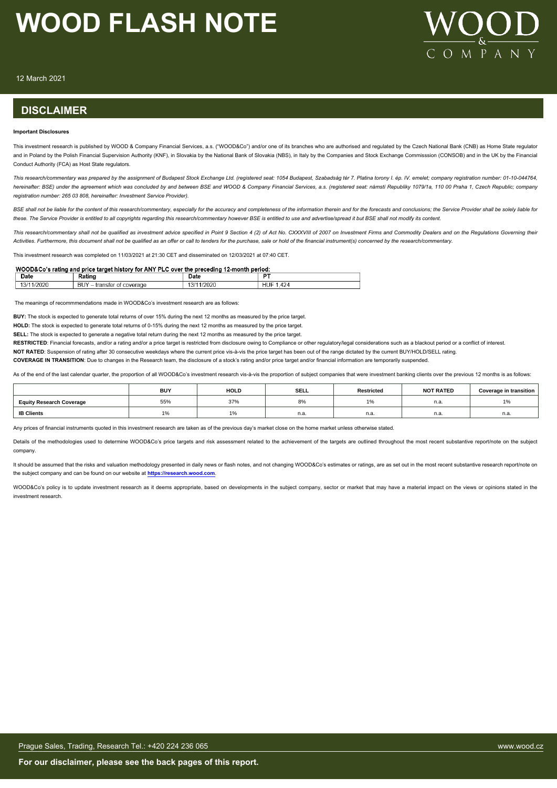

12 March 2021

# **DISCLAIMER**

#### **Important Disclosures**

This investment research is published by WOOD & Company Financial Services, a.s. ("WOOD&Co") and/or one of its branches who are authorised and regulated by the Czech National Bank (CNB) as Home State regulator and in Poland by the Polish Financial Supervision Authority (KNF), in Slovakia by the National Bank of Slovakia (NBS), in Italy by the Companies and Stock Exchange Commisssion (CONSOB) and in the UK by the Financial Conduct Authority (FCA) as Host State regulators.

*This research/commentary was prepared by the assignment of Budapest Stock Exchange Ltd. (registered seat: 1054 Budapest, Szabadság tér 7. Platina torony I. ép. IV. emelet; company registration number: 01-10-044764, hereinafter: BSE) under the agreement which was concluded by and between BSE and WOOD & Company Financial Services, a.s. (registered seat: námstí Republiky 1079/1a, 110 00 Praha 1, Czech Republic; company registration number: 265 03 808, hereinafter: Investment Service Provider).*

BSE shall not be liable for the content of this research/commentary, especially for the accuracy and completeness of the information therein and for the forecasts and conclusions; the Service Provider shall be solely liabl *these. The Service Provider is entitled to all copyrights regarding this research/commentary however BSE is entitled to use and advertise/spread it but BSE shall not modify its content.*

*This research/commentary shall not be qualified as investment advice specified in Point 9 Section 4 (2) of Act No. CXXXVIII of 2007 on Investment Firms and Commodity Dealers and on the Regulations Governing their Activities. Furthermore, this document shall not be qualified as an offer or call to tenders for the purchase, sale or hold of the financial instrument(s) concerned by the research/commentary.*

This investment research was completed on 11/03/2021 at 21:30 CET and disseminated on 12/03/2021 at 07:40 CET.

| WOOD&Co's rating and price target history for ANY PLC over the preceding 12-month period: |  |
|-------------------------------------------------------------------------------------------|--|
|                                                                                           |  |

| Date<br>$ -$    | Ratino                                     | Date<br>_____                      | --                 |
|-----------------|--------------------------------------------|------------------------------------|--------------------|
| /2020<br>- 1.31 | DI IV<br>coverage<br>ΩŤ<br>transter<br>DU. | 1/2020<br>$\sim$<br>$\overline{ }$ | .424<br><b>HUF</b> |

The meanings of recommmendations made in WOOD&Co's investment research are as follows:

**BUY:** The stock is expected to generate total returns of over 15% during the next 12 months as measured by the price target.

**HOLD:** The stock is expected to generate total returns of 0-15% during the next 12 months as measured by the price target.

**SELL:** The stock is expected to generate a negative total return during the next 12 months as measured by the price target.

RESTRICTED: Financial forecasts, and/or a rating and/or a price target is restricted from disclosure owing to Compliance or other regulatory/legal considerations such as a blackout period or a conflict of interest. **NOT RATED**: Suspension of rating after 30 consecutive weekdays where the current price vis-à-vis the price target has been out of the range dictated by the current BUY/HOLD/SELL rating.

**COVERAGE IN TRANSITION:** Due to changes in the Research team, the disclosure of a stock's rating and/or price target and/or financial information are temporarily suspended.

As of the end of the last calendar quarter, the proportion of all WOOD&Co's investment research vis-à-vis the proportion of subject companies that were investment banking clients over the previous 12 months is as follows:

|                                 | <b>BUY</b> | <b>HOLD</b> | SELL | Restricted | <b>NOT RATED</b> | <b>Coverage in transition</b> |
|---------------------------------|------------|-------------|------|------------|------------------|-------------------------------|
| <b>Equity Research Coverage</b> | 55%        | 37%         | 8%   |            | n.a              | 10/2                          |
| <b>IB Clients</b>               |            |             | n.a. | n.a.       | n.a              | - -<br>11.d.                  |

Any prices of financial instruments quoted in this investment research are taken as of the previous day's market close on the home market unless otherwise stated.

Details of the methodologies used to determine WOOD&Co's price targets and risk assessment related to the achievement of the targets are outlined throughout the most recent substantive report/note on the subject company.

It should be assumed that the risks and valuation methodology presented in daily news or flash notes, and not changing WOOD&Co's estimates or ratings, are as set out in the most recent substantive research report/note on the subject company and can be found on our website at **[https://research.wood.com](https://research.wood.com/)**.

WOOD&Co's policy is to update investment research as it deems appropriate, based on developments in the subject company, sector or market that may have a material impact on the views or opinions stated in the investment research.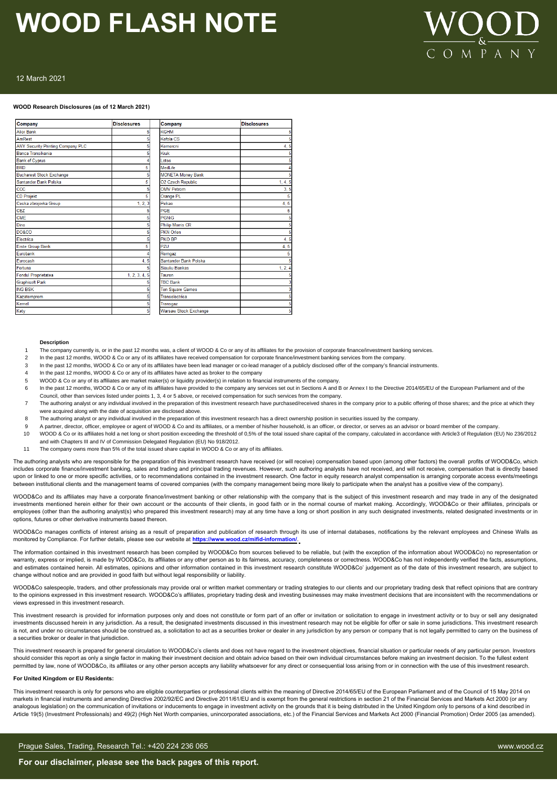

# 12 March 2021

### **WOOD Research Disclosures (as of 12 March 2021)**

| Company                           | <b>Disclosures</b> | Company                      | <b>Disclosures</b> |
|-----------------------------------|--------------------|------------------------------|--------------------|
| <b>Alior Bank</b>                 | 5                  | <b>KGHM</b>                  |                    |
| AmRest                            |                    | Kofola CS                    |                    |
| ANY Security Printing Company PLC |                    | Komercni                     | 4.5                |
| Banca Transilvania                |                    | Kruk                         |                    |
| <b>Bank of Cyprus</b>             |                    | <b>Lotos</b>                 |                    |
| <b>BRD</b>                        | 5                  | MedLife                      |                    |
| <b>Bucharest Stock Exchange</b>   |                    | <b>MONETA Money Bank</b>     |                    |
| Santander Bank Polska             | 5                  | O2 Czech Republic            | 1, 4, 5            |
| <b>CCC</b>                        |                    | <b>OMV Petrom</b>            | 3.5                |
| <b>CD Projekt</b>                 | 5                  | Orange PL                    |                    |
| Ceska zbrojovka Group             | 1, 2, 3            | Pekao                        | 4, 5               |
| <b>CEZ</b>                        |                    | PGE                          |                    |
| <b>CME</b>                        |                    | <b>PGNiG</b>                 |                    |
| Dino                              |                    | Philip Morris CR             |                    |
| <b>DO&amp;CO</b>                  |                    | <b>PKN Orlen</b>             |                    |
| <b>Flectrica</b>                  |                    | PKO BP                       | 4,5                |
| <b>Erste Group Bank</b>           | 5                  | PZU                          | 4, 5               |
| Eurobank                          |                    | Romgaz                       |                    |
| Eurocash                          | 4, 5               | Santander Bank Polska        |                    |
| Fortuna                           |                    | Siauliu Bankas               | 1, 2, 4            |
| <b>Fondul Proprietatea</b>        | 1, 2, 3, 4, 5      | Tauron                       |                    |
| <b>Graphisoft Park</b>            |                    | <b>TBC Bank</b>              |                    |
| <b>ING BSK</b>                    |                    | <b>Ten Square Games</b>      |                    |
| Kazatomprom                       |                    | Transelectrica               |                    |
| Kernel                            |                    | Transgaz                     |                    |
| Kety                              | 5                  | <b>Warsaw Stock Exchange</b> | 5                  |

#### **Description**

- 1 The company currently is, or in the past 12 months was, a client of WOOD & Co or any of its affiliates for the provision of corporate finance/investment banking services.
- In the past 12 months, WOOD & Co or any of its affiliates have received compensation for corporate finance/investment banking services from the company.
- 3 In the past 12 months, WOOD & Co or any of its affiliates have been lead manager or co-lead manager of a publicly disclosed offer of the company's financial instruments.
- In the past 12 months, WOOD & Co or any of its affiliates have acted as broker to the company
- 5 WOOD & Co or any of its affiliates are market maker(s) or liquidity provider(s) in relation to financial instruments of the company.
- 6 In the past 12 months, WOOD & Co or any of its affiliates have provided to the company any services set out in Sections A and B or Annex I to the Directive 2014/65/EU of the European Parliament and of the
- Council, other than services listed under points 1, 3, 4 or 5 above, or received compensation for such services from the company.
- 7 The authoring analyst or any individual involved in the preparation of this investment research have purchased/received shares in the company prior to a public offering of those shares; and the price at which they were acquired along with the date of acquisition are disclosed above.
- 8 The authoring analyst or any individual involved in the preparation of this investment research has a direct ownership position in securities issued by the company.
- 9 A partner, director, officer, employee or agent of WOOD & Co and its affiliates, or a member of his/her household, is an officer, or director, or serves as an advisor or board member of the company.
- 10 WOOD & Co or its affiliates hold a net long or short position exceeding the threshold of 0,5% of the total issued share capital of the company, calculated in accordance with Article3 of Regulation (EU) No 236/2012 and with Chapters III and IV of Commission Delegated Regulation (EU) No 918/2012.
- 11 The company owns more than 5% of the total issued share capital in WOOD & Co or any of its affiliates.

The authoring analysts who are responsible for the preparation of this investment research have received (or will receive) compensation based upon (among other factors) the overall profits of WOOD&Co, which includes corporate finance/investment banking, sales and trading and principal trading revenues. However, such authoring analysts have not received, and will not receive, compensation that is directly based upon or linked to one or more specific activities, or to recommendations contained in the investment research. One factor in equity research analyst compensation is arranging corporate access events/meetings between institutional clients and the management teams of covered companies (with the company management being more likely to participate when the analyst has a positive view of the company)

WOOD&Co and its affiliates may have a corporate finance/investment banking or other relationship with the company that is the subject of this investment research and may trade in any of the designated investments mentioned herein either for their own account or the accounts of their clients, in good faith or in the normal course of market making. Accordingly, WOOD&Co or their affiliates, principals or employees (other than the authoring analyst(s) who prepared this investment research) may at any time have a long or short position in any such designated investments, related designated investments or in options, futures or other derivative instruments based thereon.

WOOD&Co manages conflicts of interest arising as a result of preparation and publication of research through its use of internal databases, notifications by the relevant employees and Chinese Walls as monitored by Compliance. For further details, please see our website at **https://www.wood.cz/mifid-information/**.

The information contained in this investment research has been compiled by WOOD&Co from sources believed to be reliable, but (with the exception of the information about WOOD&Co) no representation or warranty, express or implied, is made by WOOD&Co, its affiliates or any other person as to its fairness, accuracy, completeness or correctness. WOOD&Co has not independently verified the facts, assumptions, and estimates contained herein. All estimates, opinions and other information contained in this investment research constitute WOOD&Co' judgement as of the date of this investment research, are subject to change without notice and are provided in good faith but without legal responsibility or liability.

WOOD&Co salespeople, traders, and other professionals may provide oral or written market commentary or trading strategies to our clients and our proprietary trading desk that reflect opinions that are contrary to the opinions expressed in this investment research. WOOD&Co's affiliates, proprietary trading desk and investing businesses may make investment decisions that are inconsistent with the recommendations or views expressed in this investment research.

This investment research is provided for information purposes only and does not constitute or form part of an offer or invitation or solicitation to engage in investment activity or to buy or sell any designated investments discussed herein in any jurisdiction. As a result, the designated investments discussed in this investment research may not be eligible for offer or sale in some jurisdictions. This investment research is not, and under no circumstances should be construed as, a solicitation to act as a securities broker or dealer in any jurisdiction by any person or company that is not legally permitted to carry on the business of a securities broker or dealer in that jurisdiction.

This investment research is prepared for general circulation to WOOD&Co's clients and does not have regard to the investment objectives, financial situation or particular needs of any particular person. Investors should consider this report as only a single factor in making their investment decision and obtain advice based on their own individual circumstances before making an investment decision. To the fullest extent permitted by law, none of WOOD&Co, its affiliates or any other person accepts any liability whatsoever for any direct or consequential loss arising from or in connection with the use of this investment research.

#### **For United Kingdom or EU Residents:**

This investment research is only for persons who are eligible counterparties or professional clients within the meaning of Directive 2014/65/EU of the European Parliament and of the Council of 15 May 2014 on markets in financial instruments and amending Directive 2002/92/EC and Directive 2011/61/EU and is exempt from the general restrictions in section 21 of the Financial Services and Markets Act 2000 (or any analogous legislation) on the communication of invitations or inducements to engage in investment activity on the grounds that it is being distributed in the United Kingdom only to persons of a kind described in Article 19(5) (Investment Professionals) and 49(2) (High Net Worth companies, unincorporated associations, etc.) of the Financial Services and Markets Act 2000 (Financial Promotion) Order 2005 (as amended).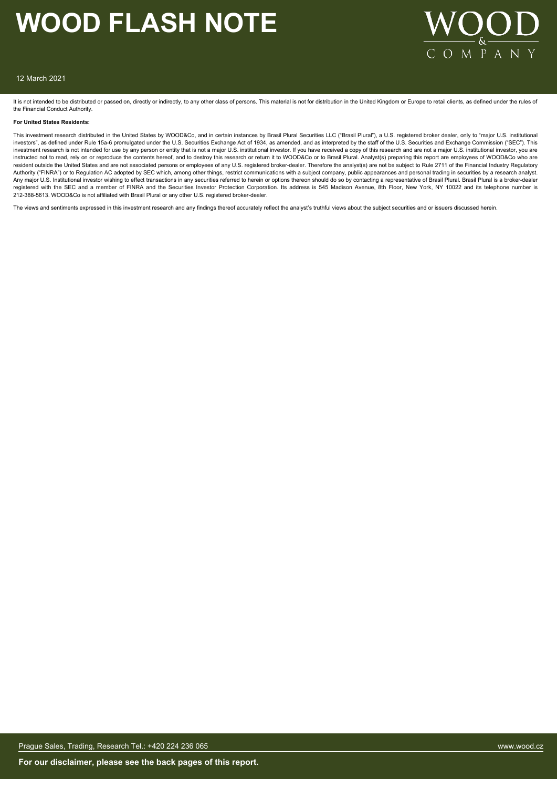

### 12 March 2021

It is not intended to be distributed or passed on, directly or indirectly, to any other class of persons. This material is not for distribution in the United Kingdom or Europe to retail clients, as defined under the rules the Financial Conduct Authority.

#### **For United States Residents:**

This investment research distributed in the United States by WOOD&Co, and in certain instances by Brasil Plural Securities LLC ("Brasil Plural"), a U.S. registered broker dealer, only to "major U.S. institutional investors", as defined under Rule 15a-6 promulgated under the U.S. Securities Exchange Act of 1934, as amended, and as interpreted by the staff of the U.S. Securities and Exchange Commission ("SEC"). This investment research is not intended for use by any person or entity that is not a major U.S. institutional investor. If you have received a copy of this research and are not a major U.S. institutional investor, you are instructed not to read, rely on or reproduce the contents hereof, and to destroy this research or return it to WOOD&Co or to Brasil Plural. Analyst(s) preparing this report are employees of WOOD&Co who are resident outside the United States and are not associated persons or employees of any U.S. registered broker-dealer. Therefore the analyst(s) are not be subject to Rule 2711 of the Financial Industry Regulatory Authority ("FINRA") or to Regulation AC adopted by SEC which, among other things, restrict communications with a subject company, public appearances and personal trading in securities by a research analyst. Any major U.S. Institutional investor wishing to effect transactions in any securities referred to herein or options thereon should do so by contacting a representative of Brasil Plural. Brasil Plural is a broker-dealer<br>re 212-388-5613. WOOD&Co is not affiliated with Brasil Plural or any other U.S. registered broker-dealer.

The views and sentiments expressed in this investment research and any findings thereof accurately reflect the analyst's truthful views about the subject securities and or issuers discussed herein.